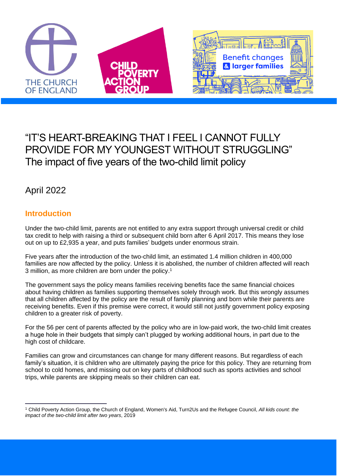

# "IT'S HEART-BREAKING THAT I FEEL I CANNOT FULLY PROVIDE FOR MY YOUNGEST WITHOUT STRUGGLING" The impact of five years of the two-child limit policy

## April 2022

## **Introduction**

 $\overline{a}$ 

Under the two-child limit, parents are not entitled to any extra support through universal credit or child tax credit to help with raising a third or subsequent child born after 6 April 2017. This means they lose out on up to £2,935 a year, and puts families' budgets under enormous strain.

Five years after the introduction of the two-child limit, an estimated 1.4 million children in 400,000 families are now affected by the policy. Unless it is abolished, the number of children affected will reach 3 million, as more children are born under the policy.<sup>1</sup>

The government says the policy means families receiving benefits face the same financial choices about having children as families supporting themselves solely through work. But this wrongly assumes that all children affected by the policy are the result of family planning and born while their parents are receiving benefits. Even if this premise were correct, it would still not justify government policy exposing children to a greater risk of poverty.

For the 56 per cent of parents affected by the policy who are in low-paid work, the two-child limit creates a huge hole in their budgets that simply can't plugged by working additional hours, in part due to the high cost of childcare.

Families can grow and circumstances can change for many different reasons. But regardless of each family's situation, it is children who are ultimately paying the price for this policy. They are returning from school to cold homes, and missing out on key parts of childhood such as sports activities and school trips, while parents are skipping meals so their children can eat.

<sup>1</sup> Child Poverty Action Group, the Church of England, Women's Aid, Turn2Us and the Refugee Council, *All kids count: the impact of the two-child limit after two years*, 2019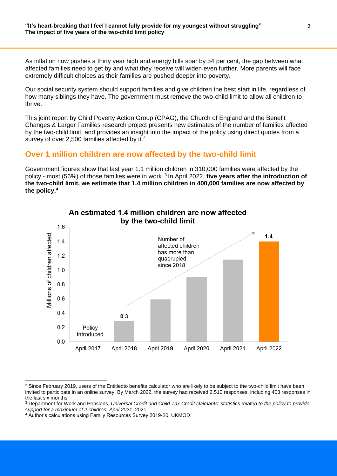As inflation now pushes a thirty year high and energy bills soar by 54 per cent, the gap between what affected families need to get by and what they receive will widen even further. More parents will face extremely difficult choices as their families are pushed deeper into poverty.

Our social security system should support families and give children the best start in life, regardless of how many siblings they have. The government must remove the two-child limit to allow all children to thrive.

This joint report by Child Poverty Action Group (CPAG), the Church of England and the Benefit Changes & Larger Families research project presents new estimates of the number of families affected by the two-child limit, and provides an insight into the impact of the policy using direct quotes from a survey of over 2,500 families affected by it.<sup>2</sup>

#### **Over 1 million children are now affected by the two-child limit**

Government figures show that last year 1.1 million children in 310,000 families were affected by the policy - most (56%) of those families were in work. <sup>3</sup> In April 2022, **five years after the introduction of the two-child limit, we estimate that 1.4 million children in 400,000 families are now affected by the policy.<sup>4</sup>**



#### An estimated 1.4 million children are now affected by the two-child limit

 $\overline{a}$ <sup>2</sup> Since February 2019, users of the Entitledto benefits calculator who are likely to be subject to the two-child limit have been invited to participate in an online survey. By March 2022, the survey had received 2,510 responses, including 403 responses in the last six months.

<sup>3</sup> Department for Work and Pensions, *Universal Credit and Child Tax Credit claimants: statistics related to the policy to provide support for a maximum of 2 children, April 2021*, 2021

<sup>4</sup> Author's calculations using Family Resources Survey 2019-20, UKMOD.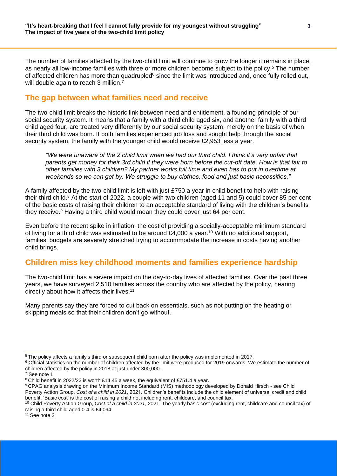The number of families affected by the two-child limit will continue to grow the longer it remains in place, as nearly all low-income families with three or more children become subject to the policy.<sup>5</sup> The number of affected children has more than quadrupled<sup>6</sup> since the limit was introduced and, once fully rolled out, will double again to reach 3 million.<sup>7</sup>

#### **The gap between what families need and receive**

The two-child limit breaks the historic link between need and entitlement, a founding principle of our social security system. It means that a family with a third child aged six, and another family with a third child aged four, are treated very differently by our social security system, merely on the basis of when their third child was born. If both families experienced job loss and sought help through the social security system, the family with the younger child would receive £2,953 less a year.

*"We were unaware of the 2 child limit when we had our third child. I think it's very unfair that parents get money for their 3rd child if they were born before the cut-off date. How is that fair to other families with 3 children? My partner works full time and even has to put in overtime at weekends so we can get by. We struggle to buy clothes, food and just basic necessities."*

A family affected by the two-child limit is left with just £750 a year in child benefit to help with raising their third child.<sup>8</sup> At the start of 2022, a couple with two children (aged 11 and 5) could cover 85 per cent of the basic costs of raising their children to an acceptable standard of living with the children's benefits they receive.<sup>9</sup> Having a third child would mean they could cover just 64 per cent.

Even before the recent spike in inflation, the cost of providing a socially-acceptable minimum standard of living for a third child was estimated to be around £4,000 a year.<sup>10</sup> With no additional support, families' budgets are severely stretched trying to accommodate the increase in costs having another child brings.

#### **Children miss key childhood moments and families experience hardship**

The two-child limit has a severe impact on the day-to-day lives of affected families. Over the past three years, we have surveyed 2,510 families across the country who are affected by the policy, hearing directly about how it affects their lives.<sup>11</sup>

Many parents say they are forced to cut back on essentials, such as not putting on the heating or skipping meals so that their children don't go without.

<sup>11</sup> See note 2

 $\overline{a}$ <sup>5</sup> The policy affects a family's third or subsequent child born after the policy was implemented in 2017.

<sup>&</sup>lt;sup>6</sup> Official statistics on the number of children affected by the limit were produced for 2019 onwards. We estimate the number of children affected by the policy in 2018 at just under 300,000.

<sup>7</sup> See note 1

<sup>8</sup> Child benefit in 2022/23 is worth £14.45 a week, the equivalent of £751.4 a year.

<sup>9</sup> CPAG analysis drawing on the Minimum Income Standard (MIS) methodology developed by Donald Hirsch - see Child Poverty Action Group, *Cost of a child in 2021*, 2021. Children's benefits include the child element of universal credit and child benefit. 'Basic cost' is the cost of raising a child not including rent, childcare, and council tax.

<sup>10</sup> Child Poverty Action Group, *Cost of a child in 2021*, 2021. The yearly basic cost (excluding rent, childcare and council tax) of raising a third child aged 0-4 is £4,094.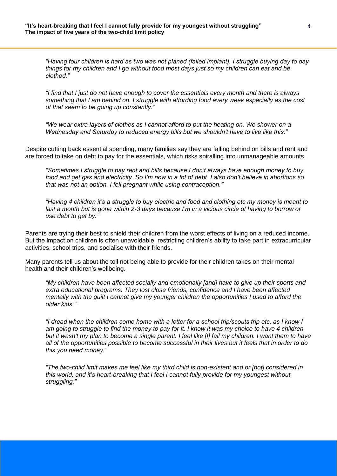*"Having four children is hard as two was not planed (failed implant). I struggle buying day to day things for my children and I go without food most days just so my children can eat and be clothed."*

*"I find that I just do not have enough to cover the essentials every month and there is always something that I am behind on. I struggle with affording food every week especially as the cost of that seem to be going up constantly."*

*"We wear extra layers of clothes as I cannot afford to put the heating on. We shower on a Wednesday and Saturday to reduced energy bills but we shouldn't have to live like this."*

Despite cutting back essential spending, many families say they are falling behind on bills and rent and are forced to take on debt to pay for the essentials, which risks spiralling into unmanageable amounts.

*"Sometimes I struggle to pay rent and bills because I don't always have enough money to buy food and get gas and electricity. So I'm now in a lot of debt. I also don't believe in abortions so that was not an option. I fell pregnant while using contraception."*

*"Having 4 children it's a struggle to buy electric and food and clothing etc my money is meant to last a month but is gone within 2-3 days because I'm in a vicious circle of having to borrow or use debt to get by."*

Parents are trying their best to shield their children from the worst effects of living on a reduced income. But the impact on children is often unavoidable, restricting children's ability to take part in extracurricular activities, school trips, and socialise with their friends.

Many parents tell us about the toll not being able to provide for their children takes on their mental health and their children's wellbeing.

*"My children have been affected socially and emotionally [and] have to give up their sports and extra educational programs. They lost close friends, confidence and I have been affected mentally with the guilt I cannot give my younger children the opportunities I used to afford the older kids."*

*"I dread when the children come home with a letter for a school trip/scouts trip etc. as I know I am going to struggle to find the money to pay for it. I know it was my choice to have 4 children but it wasn't my plan to become a single parent. I feel like [I] fail my children. I want them to have all of the opportunities possible to become successful in their lives but it feels that in order to do this you need money."*

*"The two-child limit makes me feel like my third child is non-existent and or [not] considered in this world, and it's heart-breaking that I feel I cannot fully provide for my youngest without struggling."*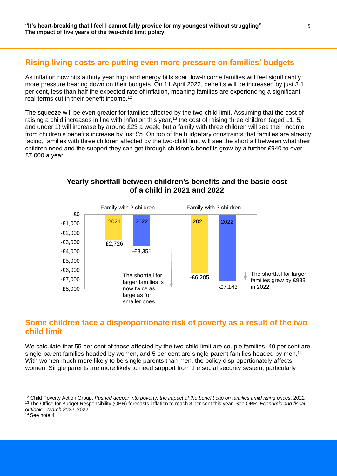### **Rising living costs are putting even more pressure on families' budgets**

As inflation now hits a thirty year high and energy bills soar, low-income families will feel significantly more pressure bearing down on their budgets. On 11 April 2022, benefits will be increased by just 3.1 per cent, less than half the expected rate of inflation, meaning families are experiencing a significant real-terms cut in their benefit income.<sup>12</sup>

The squeeze will be even greater for families affected by the two-child limit. Assuming that the cost of raising a child increases in line with inflation this year,<sup>13</sup> the cost of raising three children (aged 11, 5, and under 1) will increase by around £23 a week, but a family with three children will see their income from children's benefits increase by just £5. On top of the budgetary constraints that families are already facing, families with three children affected by the two-child limit will see the shortfall between what their children need and the support they can get through children's benefits grow by a further £940 to over £7,000 a year.



**Yearly shortfall between children's benefits and the basic cost of a child in 2021 and 2022** 

## **Some children face a disproportionate risk of poverty as a result of the two child limit**

We calculate that 55 per cent of those affected by the two-child limit are couple families, 40 per cent are single-parent families headed by women, and 5 per cent are single-parent families headed by men.<sup>14</sup> With women much more likely to be single parents than men, the policy disproportionately affects women. Single parents are more likely to need support from the social security system, particularly

<sup>12</sup> Child Poverty Action Group, *Pushed deeper into poverty: the impact of the benefit cap on families amid rising prices*, 2022 <sup>13</sup> The Office for Budget Responsibility (OBR) forecasts inflation to reach 8 per cent this year. See OBR, *Economic and fiscal outlook – March 2022*, 2022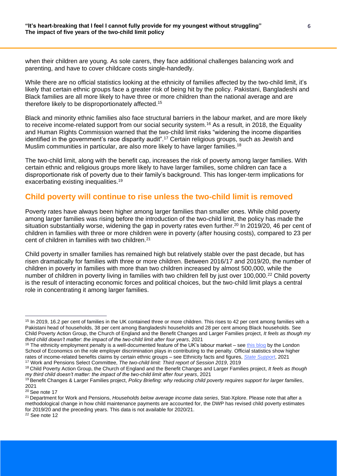when their children are young. As sole carers, they face additional challenges balancing work and parenting, and have to cover childcare costs single-handedly.

While there are no official statistics looking at the ethnicity of families affected by the two-child limit, it's likely that certain ethnic groups face a greater risk of being hit by the policy. Pakistani, Bangladeshi and Black families are all more likely to have three or more children than the national average and are therefore likely to be disproportionately affected. 15

Black and minority ethnic families also face structural barriers in the labour market, and are more likely to receive income-related support from our social security system.<sup>16</sup> As a result, in 2018, the Equality and Human Rights Commission warned that the two-child limit risks "widening the income disparities identified in the government's race disparity audit".<sup>17</sup> Certain religious groups, such as Jewish and Muslim communities in particular, are also more likely to have larger families.<sup>18</sup>

The two-child limit, along with the benefit cap, increases the risk of poverty among larger families. With certain ethnic and religious groups more likely to have larger families, some children can face a disproportionate risk of poverty due to their family's background. This has longer-term implications for exacerbating existing inequalities.<sup>19</sup>

#### **Child poverty will continue to rise unless the two-child limit is removed**

Poverty rates have always been higher among larger families than smaller ones. While child poverty among larger families was rising before the introduction of the two-child limit, the policy has made the situation substantially worse, widening the gap in poverty rates even further.<sup>20</sup> In 2019/20, 46 per cent of children in families with three or more children were in poverty (after housing costs), compared to 23 per cent of children in families with two children.<sup>21</sup>

Child poverty in smaller families has remained high but relatively stable over the past decade, but has risen dramatically for families with three or more children. Between 2016/17 and 2019/20, the number of children in poverty in families with more than two children increased by almost 500,000, while the number of children in poverty living in families with two children fell by just over 100,000.<sup>22</sup> Child poverty is the result of interacting economic forces and political choices, but the two-child limit plays a central role in concentrating it among larger families.

<sup>&</sup>lt;sup>15</sup> In 2019, 16.2 per cent of families in the UK contained three or more children. This rises to 42 per cent among families with a Pakistani head of households, 38 per cent among Bangladeshi households and 28 per cent among Black households. See Child Poverty Action Group, the Church of England and the Benefit Changes and Larger Families project, *It feels as though my third child doesn't matter: the impact of the two-child limit after four years*, 2021

 $16$  The ethnicity employment penalty is a well-documented feature of the UK's labour market – see [this blog](https://blogs.lse.ac.uk/politicsandpolicy/ethnic-penalties-and-hiring-discrimination/) by the London School of Economics on the role employer discrimination plays in contributing to the penalty. Official statistics show higher rates of income-related benefits claims by certain ethnic groups – see Ethnicity facts and figures, *[State Support](https://www.ethnicity-facts-figures.service.gov.uk/work-pay-and-benefits/benefits/state-support/latest)*, 2021 <sup>17</sup> Work and Pensions Select Committee, *The two-child limit: Third report of Session 2019*, 2019

<sup>18</sup> Child Poverty Action Group, the Church of England and the Benefit Changes and Larger Families project, *It feels as though my third child doesn't matter: the impact of the two-child limit after four years*, 2021

<sup>19</sup> Benefit Changes & Larger Families project, *Policy Briefing: why reducing child poverty requires support for larger families*, 2021

<sup>&</sup>lt;sup>20</sup> See note 17

<sup>21</sup> Department for Work and Pensions, *Households below average income data series*, Stat-Xplore. Please note that after a methodological change in how child maintenance payments are accounted for, the DWP has revised child poverty estimates for 2019/20 and the preceding years. This data is not available for 2020/21. <sup>22</sup> See note 12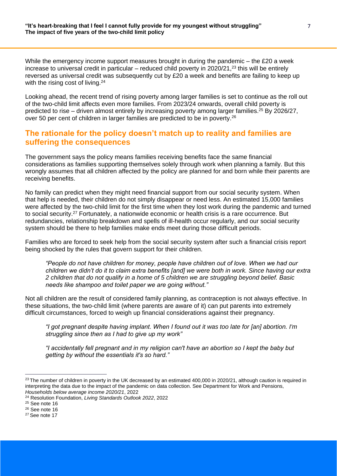While the emergency income support measures brought in during the pandemic  $-$  the £20 a week increase to universal credit in particular – reduced child poverty in 2020/21,<sup>23</sup> this will be entirely reversed as universal credit was subsequently cut by £20 a week and benefits are failing to keep up with the rising cost of living.<sup>24</sup>

Looking ahead, the recent trend of rising poverty among larger families is set to continue as the roll out of the two-child limit affects even more families. From 2023/24 onwards, overall child poverty is predicted to rise – driven almost entirely by increasing poverty among larger families.<sup>25</sup> By 2026/27, over 50 per cent of children in larger families are predicted to be in poverty.<sup>26</sup>

#### **The rationale for the policy doesn't match up to reality and families are suffering the consequences**

The government says the policy means families receiving benefits face the same financial considerations as families supporting themselves solely through work when planning a family. But this wrongly assumes that all children affected by the policy are planned for and born while their parents are receiving benefits.

No family can predict when they might need financial support from our social security system. When that help is needed, their children do not simply disappear or need less. An estimated 15,000 families were affected by the two-child limit for the first time when they lost work during the pandemic and turned to social security.<sup>27</sup> Fortunately, a nationwide economic or health crisis is a rare occurrence. But redundancies, relationship breakdown and spells of ill-health occur regularly, and our social security system should be there to help families make ends meet during those difficult periods.

Families who are forced to seek help from the social security system after such a financial crisis report being shocked by the rules that govern support for their children.

*"People do not have children for money, people have children out of love. When we had our children we didn't do it to claim extra benefits [and] we were both in work. Since having our extra 2 children that do not qualify in a home of 5 children we are struggling beyond belief. Basic needs like shampoo and toilet paper we are going without."*

Not all children are the result of considered family planning, as contraception is not always effective. In these situations, the two-child limit (where parents are aware of it) can put parents into extremely difficult circumstances, forced to weigh up financial considerations against their pregnancy.

*"I got pregnant despite having implant. When I found out it was too late for [an] abortion. I'm struggling since then as I had to give up my work"*

*"I accidentally fell pregnant and in my religion can't have an abortion so I kept the baby but getting by without the essentials it's so hard."*

 $^{23}$  The number of children in poverty in the UK decreased by an estimated 400,000 in 2020/21, although caution is required in interpreting the data due to the impact of the pandemic on data collection. See Department for Work and Pensions, *Households below average income 2020/21*, 2022

<sup>24</sup> Resolution Foundation, *Living Standards Outlook 2022*, 2022

<sup>25</sup> See note 16

<sup>26</sup> See note 16

<sup>27</sup> See note 17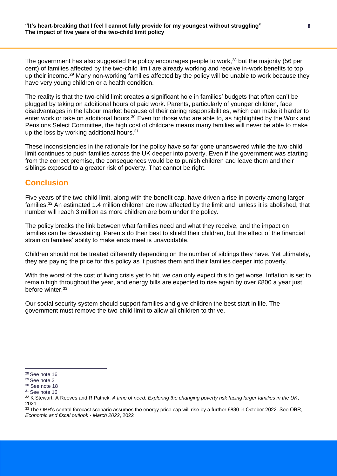The government has also suggested the policy encourages people to work,<sup>28</sup> but the majority (56 per cent) of families affected by the two-child limit are already working and receive in-work benefits to top up their income.<sup>29</sup> Many non-working families affected by the policy will be unable to work because they have very young children or a health condition.

The reality is that the two-child limit creates a significant hole in families' budgets that often can't be plugged by taking on additional hours of paid work. Parents, particularly of younger children, face disadvantages in the labour market because of their caring responsibilities, which can make it harder to enter work or take on additional hours.<sup>30</sup> Even for those who are able to, as highlighted by the Work and Pensions Select Committee, the high cost of childcare means many families will never be able to make up the loss by working additional hours.<sup>31</sup>

These inconsistencies in the rationale for the policy have so far gone unanswered while the two-child limit continues to push families across the UK deeper into poverty. Even if the government was starting from the correct premise, the consequences would be to punish children and leave them and their siblings exposed to a greater risk of poverty. That cannot be right.

### **Conclusion**

Five years of the two-child limit, along with the benefit cap, have driven a rise in poverty among larger families.<sup>32</sup> An estimated 1.4 million children are now affected by the limit and, unless it is abolished, that number will reach 3 million as more children are born under the policy.

The policy breaks the link between what families need and what they receive, and the impact on families can be devastating. Parents do their best to shield their children, but the effect of the financial strain on families' ability to make ends meet is unavoidable.

Children should not be treated differently depending on the number of siblings they have. Yet ultimately, they are paying the price for this policy as it pushes them and their families deeper into poverty.

With the worst of the cost of living crisis yet to hit, we can only expect this to get worse. Inflation is set to remain high throughout the year, and energy bills are expected to rise again by over £800 a year just before winter.<sup>33</sup>

Our social security system should support families and give children the best start in life. The government must remove the two-child limit to allow all children to thrive.

<sup>28</sup> See note 16

<sup>29</sup> See note 3

<sup>30</sup> See note 18

<sup>&</sup>lt;sup>31</sup> See note 16

<sup>32</sup> K Stewart, A Reeves and R Patrick. *A time of need: Exploring the changing poverty risk facing larger families in the UK*, 2021

 $33$  The OBR's central forecast scenario assumes the energy price cap will rise by a further £830 in October 2022. See OBR, *Economic and fiscal outlook - March 2022*, 2022